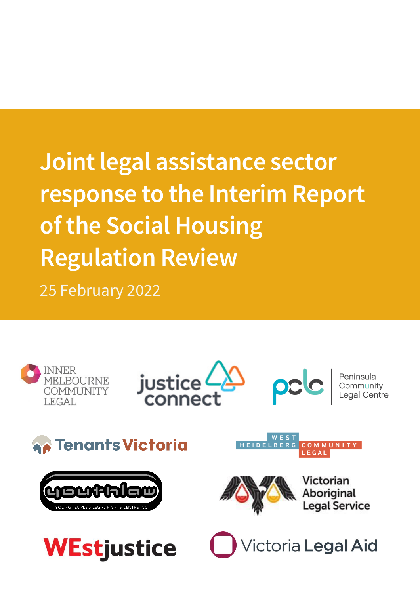# Joint legal assistance sector response to the Interim Report of the Social Housing Regulation Review 25 February 2022

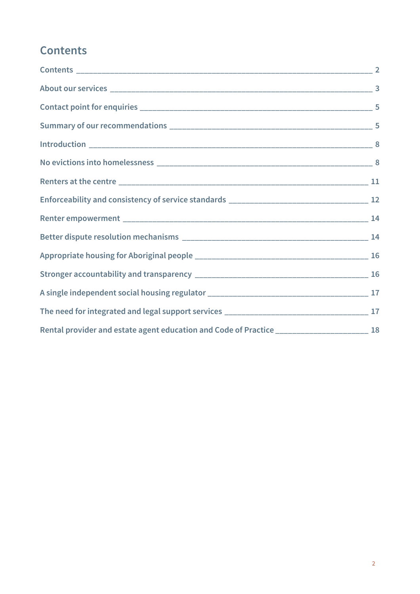# <span id="page-1-0"></span>**Contents**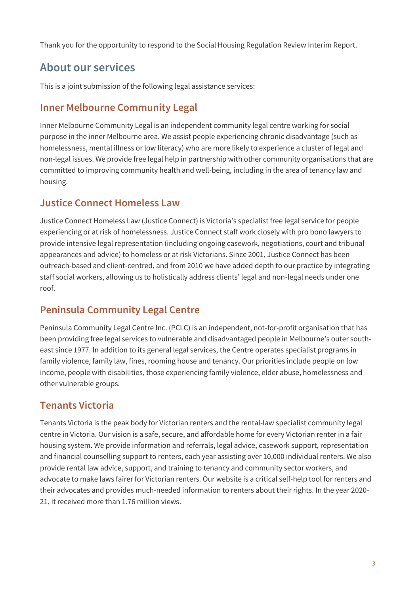Thank you for the opportunity to respond to the Social Housing Regulation Review Interim Report.

# <span id="page-2-0"></span>About our services

This is a joint submission of the following legal assistance services:

### Inner Melbourne Community Legal

Inner Melbourne Community Legal is an independent community legal centre working for social purpose in the inner Melbourne area. We assist people experiencing chronic disadvantage (such as homelessness, mental illness or low literacy) who are more likely to experience a cluster of legal and non-legal issues. We provide free legal help in partnership with other community organisations that are committed to improving community health and well-being, including in the area of tenancy law and housing.

### Justice Connect Homeless Law

Justice Connect Homeless Law (Justice Connect) is Victoria's specialist free legal service for people experiencing or at risk of homelessness. Justice Connect staff work closely with pro bono lawyers to provide intensive legal representation (including ongoing casework, negotiations, court and tribunal appearances and advice) to homeless or at risk Victorians. Since 2001, Justice Connect has been outreach-based and client-centred, and from 2010 we have added depth to our practice by integrating staff social workers, allowing us to holistically address clients' legal and non-legal needs under one roof.

### Peninsula Community Legal Centre

Peninsula Community Legal Centre Inc. (PCLC) is an independent, not-for-profit organisation that has been providing free legal services to vulnerable and disadvantaged people in Melbourne's outer southeast since 1977. In addition to its general legal services, the Centre operates specialist programs in family violence, family law, fines, rooming house and tenancy. Our priorities include people on low income, people with disabilities, those experiencing family violence, elder abuse, homelessness and other vulnerable groups.

### Tenants Victoria

Tenants Victoria is the peak body for Victorian renters and the rental-law specialist community legal centre in Victoria. Our vision is a safe, secure, and affordable home for every Victorian renter in a fair housing system. We provide information and referrals, legal advice, casework support, representation and financial counselling support to renters, each year assisting over 10,000 individual renters. We also provide rental law advice, support, and training to tenancy and community sector workers, and advocate to make laws fairer for Victorian renters. Our website is a critical self-help tool for renters and their advocates and provides much-needed information to renters about their rights. In the year 2020- 21, it received more than 1.76 million views.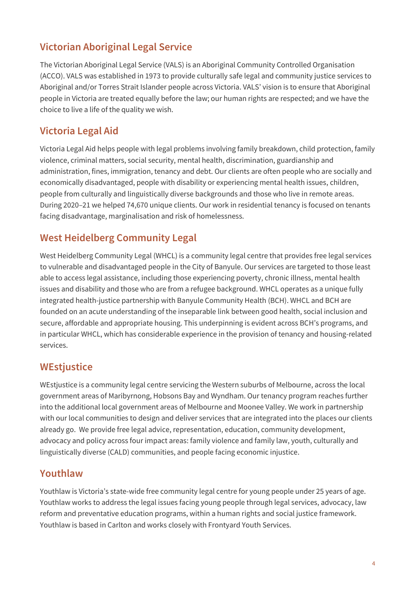### Victorian Aboriginal Legal Service

The Victorian Aboriginal Legal Service (VALS) is an Aboriginal Community Controlled Organisation (ACCO). VALS was established in 1973 to provide culturally safe legal and community justice services to Aboriginal and/or Torres Strait Islander people across Victoria. VALS' vision is to ensure that Aboriginal people in Victoria are treated equally before the law; our human rights are respected; and we have the choice to live a life of the quality we wish.

### Victoria Legal Aid

Victoria Legal Aid helps people with legal problems involving family breakdown, child protection, family violence, criminal matters, social security, mental health, discrimination, guardianship and administration, fines, immigration, tenancy and debt. Our clients are often people who are socially and economically disadvantaged, people with disability or experiencing mental health issues, children, people from culturally and linguistically diverse backgrounds and those who live in remote areas. During 2020–21 we helped 74,670 unique clients. Our work in residential tenancy is focused on tenants facing disadvantage, marginalisation and risk of homelessness.

### West Heidelberg Community Legal

West Heidelberg Community Legal (WHCL) is a community legal centre that provides free legal services to vulnerable and disadvantaged people in the City of Banyule. Our services are targeted to those least able to access legal assistance, including those experiencing poverty, chronic illness, mental health issues and disability and those who are from a refugee background. WHCL operates as a unique fully integrated health-justice partnership with Banyule Community Health (BCH). WHCL and BCH are founded on an acute understanding of the inseparable link between good health, social inclusion and secure, affordable and appropriate housing. This underpinning is evident across BCH's programs, and in particular WHCL, which has considerable experience in the provision of tenancy and housing-related services.

### **WEstjustice**

WEstjustice is a community legal centre servicing the Western suburbs of Melbourne, across the local government areas of Maribyrnong, Hobsons Bay and Wyndham. Our tenancy program reaches further into the additional local government areas of Melbourne and Moonee Valley. We work in partnership with our local communities to design and deliver services that are integrated into the places our clients already go. We provide free legal advice, representation, education, community development, advocacy and policy across four impact areas: family violence and family law, youth, culturally and linguistically diverse (CALD) communities, and people facing economic injustice.

### Youthlaw

<span id="page-3-0"></span>Youthlaw is Victoria's state-wide free community legal centre for young people under 25 years of age. Youthlaw works to address the legal issues facing young people through legal services, advocacy, law reform and preventative education programs, within a human rights and social justice framework. Youthlaw is based in Carlton and works closely with Frontyard Youth Services.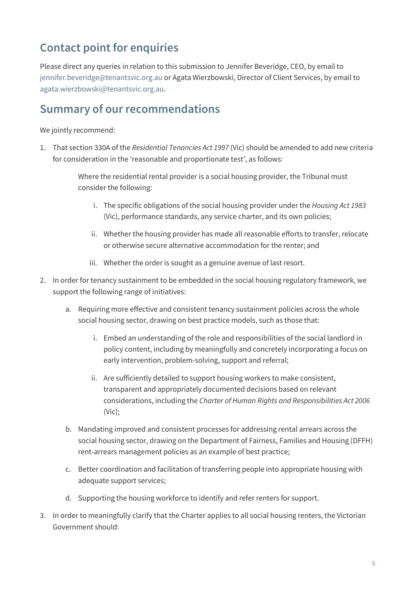# Contact point for enquiries

Please direct any queries in relation to this submission to Jennifer Beveridge, CEO, by email to [jennifer.beveridge@tenantsvic.org.au](mailto:jennifer.beveridge@tenantsvic.org.au) or Agata Wierzbowski, Director of Client Services, by email to [agata.wierzbowski@tenantsvic.org.au.](mailto:agata.wierzbowski@tenantsvic.org.au)

## <span id="page-4-0"></span>Summary of our recommendations

We jointly recommend:

1. That section 330A of the *Residential Tenancies Act 1997* (Vic) should be amended to add new criteria for consideration in the 'reasonable and proportionate test', as follows:

> Where the residential rental provider is a social housing provider, the Tribunal must consider the following:

- i. The specific obligations of the social housing provider under the *Housing Act 1983*  (Vic), performance standards, any service charter, and its own policies;
- ii. Whether the housing provider has made all reasonable efforts to transfer, relocate or otherwise secure alternative accommodation for the renter; and
- iii. Whether the order is sought as a genuine avenue of last resort.
- 2. In order for tenancy sustainment to be embedded in the social housing regulatory framework, we support the following range of initiatives:
	- a. Requiring more effective and consistent tenancy sustainment policies across the whole social housing sector, drawing on best practice models, such as those that:
		- i. Embed an understanding of the role and responsibilities of the social landlord in policy content, including by meaningfully and concretely incorporating a focus on early intervention, problem-solving, support and referral;
		- ii. Are sufficiently detailed to support housing workers to make consistent, transparent and appropriately documented decisions based on relevant considerations, including the *Charter of Human Rights and Responsibilities Act 2006* (Vic);
	- b. Mandating improved and consistent processes for addressing rental arrears across the social housing sector, drawing on the Department of Fairness, Families and Housing (DFFH) rent-arrears management policies as an example of best practice;
	- c. Better coordination and facilitation of transferring people into appropriate housing with adequate support services;
	- d. Supporting the housing workforce to identify and refer renters for support.
- 3. In order to meaningfully clarify that the Charter applies to all social housing renters, the Victorian Government should: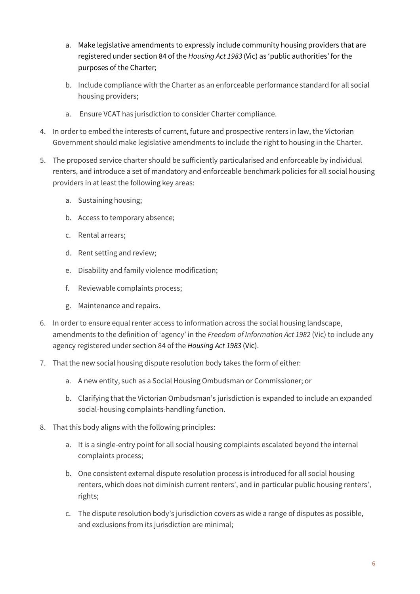- a. Make legislative amendments to expressly include community housing providers that are registered under section 84 of the *Housing Act 1983* (Vic) as 'public authorities' for the purposes of the Charter;
- b. Include compliance with the Charter as an enforceable performance standard for all social housing providers;
- a. Ensure VCAT has jurisdiction to consider Charter compliance.
- 4. In order to embed the interests of current, future and prospective renters in law, the Victorian Government should make legislative amendments to include the right to housing in the Charter.
- 5. The proposed service charter should be sufficiently particularised and enforceable by individual renters, and introduce a set of mandatory and enforceable benchmark policies for all social housing providers in at least the following key areas:
	- a. Sustaining housing;
	- b. Access to temporary absence;
	- c. Rental arrears;
	- d. Rent setting and review;
	- e. Disability and family violence modification;
	- f. Reviewable complaints process;
	- g. Maintenance and repairs.
- 6. In order to ensure equal renter access to information across the social housing landscape, amendments to the definition of 'agency' in the *Freedom of Information Act 1982* (Vic) to include any agency registered under section 84 of the *Housing Act 1983* (Vic).
- 7. That the new social housing dispute resolution body takes the form of either:
	- a. A new entity, such as a Social Housing Ombudsman or Commissioner; or
	- b. Clarifying that the Victorian Ombudsman's jurisdiction is expanded to include an expanded social-housing complaints-handling function.
- 8. That this body aligns with the following principles:
	- a. It is a single-entry point for all social housing complaints escalated beyond the internal complaints process;
	- b. One consistent external dispute resolution process is introduced for all social housing renters, which does not diminish current renters', and in particular public housing renters', rights;
	- c. The dispute resolution body's jurisdiction covers as wide a range of disputes as possible, and exclusions from its jurisdiction are minimal;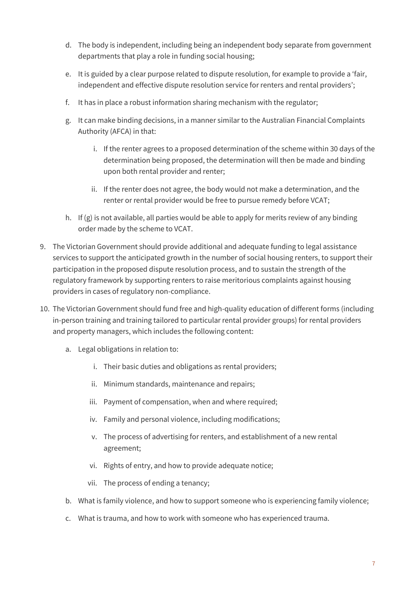- d. The body is independent, including being an independent body separate from government departments that play a role in funding social housing;
- e. It is guided by a clear purpose related to dispute resolution, for example to provide a 'fair, independent and effective dispute resolution service for renters and rental providers';
- f. It has in place a robust information sharing mechanism with the regulator;
- g. It can make binding decisions, in a manner similar to the Australian Financial Complaints Authority (AFCA) in that:
	- i. If the renter agrees to a proposed determination of the scheme within 30 days of the determination being proposed, the determination will then be made and binding upon both rental provider and renter;
	- ii. If the renter does not agree, the body would not make a determination, and the renter or rental provider would be free to pursue remedy before VCAT;
- h. If (g) is not available, all parties would be able to apply for merits review of any binding order made by the scheme to VCAT.
- 9. The Victorian Government should provide additional and adequate funding to legal assistance services to support the anticipated growth in the number of social housing renters, to support their participation in the proposed dispute resolution process, and to sustain the strength of the regulatory framework by supporting renters to raise meritorious complaints against housing providers in cases of regulatory non-compliance.
- 10. The Victorian Government should fund free and high-quality education of different forms (including in-person training and training tailored to particular rental provider groups) for rental providers and property managers, which includes the following content:
	- a. Legal obligations in relation to:
		- i. Their basic duties and obligations as rental providers;
		- ii. Minimum standards, maintenance and repairs;
		- iii. Payment of compensation, when and where required;
		- iv. Family and personal violence, including modifications;
		- v. The process of advertising for renters, and establishment of a new rental agreement;
		- vi. Rights of entry, and how to provide adequate notice;
		- vii. The process of ending a tenancy;
	- b. What is family violence, and how to support someone who is experiencing family violence;
	- c. What is trauma, and how to work with someone who has experienced trauma.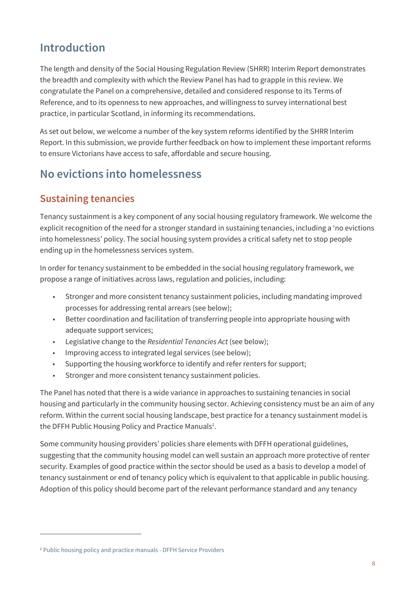# <span id="page-7-0"></span>Introduction

The length and density of the Social Housing Regulation Review (SHRR) Interim Report demonstrates the breadth and complexity with which the Review Panel has had to grapple in this review. We congratulate the Panel on a comprehensive, detailed and considered response to its Terms of Reference, and to its openness to new approaches, and willingness to survey international best practice, in particular Scotland, in informing its recommendations.

As set out below, we welcome a number of the key system reforms identified by the SHRR Interim Report. In this submission, we provide further feedback on how to implement these important reforms to ensure Victorians have access to safe, affordable and secure housing.

# <span id="page-7-1"></span>No evictions into homelessness

### Sustaining tenancies

Tenancy sustainment is a key component of any social housing regulatory framework. We welcome the explicit recognition of the need for a stronger standard in sustaining tenancies, including a 'no evictions into homelessness' policy. The social housing system provides a critical safety net to stop people ending up in the homelessness services system.

In order for tenancy sustainment to be embedded in the social housing regulatory framework, we propose a range of initiatives across laws, regulation and policies, including:

- Stronger and more consistent tenancy sustainment policies, including mandating improved processes for addressing rental arrears (see below);
- Better coordination and facilitation of transferring people into appropriate housing with adequate support services;
- Legislative change to the *Residential Tenancies Act* (see below);
- Improving access to integrated legal services (see below);
- Supporting the housing workforce to identify and refer renters for support;
- Stronger and more consistent tenancy sustainment policies.

The Panel has noted that there is a wide variance in approaches to sustaining tenancies in social housing and particularly in the community housing sector. Achieving consistency must be an aim of any reform. Within the current social housing landscape, best practice for a tenancy sustainment model is the DFFH Public Housing Policy and Practice Manuals<sup>1</sup>.

Some community housing providers' policies share elements with DFFH operational guidelines, suggesting that the community housing model can well sustain an approach more protective of renter security. Examples of good practice within the sector should be used as a basis to develop a model of tenancy sustainment or end of tenancy policy which is equivalent to that applicable in public housing. Adoption of this policy should become part of the relevant performance standard and any tenancy

<sup>&</sup>lt;sup>1</sup> [Public housing policy and practice manuals -](https://providers.dffh.vic.gov.au/public-housing-policy-and-practice-manuals) DFFH Service Providers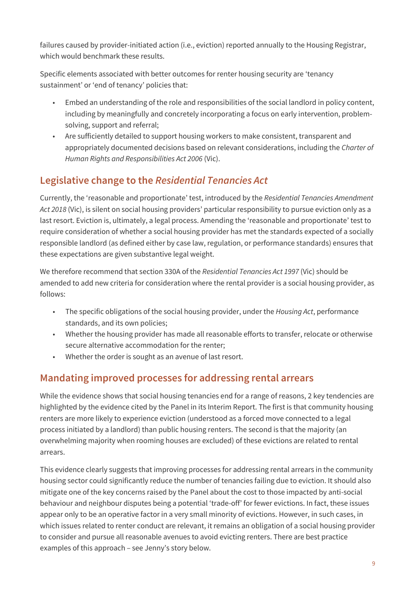failures caused by provider-initiated action (i.e., eviction) reported annually to the Housing Registrar, which would benchmark these results.

Specific elements associated with better outcomes for renter housing security are 'tenancy sustainment' or 'end of tenancy' policies that:

- Embed an understanding of the role and responsibilities of the social landlord in policy content, including by meaningfully and concretely incorporating a focus on early intervention, problemsolving, support and referral;
- Are sufficiently detailed to support housing workers to make consistent, transparent and appropriately documented decisions based on relevant considerations, including the *Charter of Human Rights and Responsibilities Act 2006* (Vic).

### Legislative change to the *Residential Tenancies Act*

Currently, the 'reasonable and proportionate' test, introduced by the *Residential Tenancies Amendment Act 2018* (Vic), is silent on social housing providers' particular responsibility to pursue eviction only as a last resort. Eviction is, ultimately, a legal process. Amending the 'reasonable and proportionate' test to require consideration of whether a social housing provider has met the standards expected of a socially responsible landlord (as defined either by case law, regulation, or performance standards) ensures that these expectations are given substantive legal weight.

We therefore recommend that section 330A of the *Residential Tenancies Act 1997* (Vic) should be amended to add new criteria for consideration where the rental provider is a social housing provider, as follows:

- The specific obligations of the social housing provider, under the *Housing Act*, performance standards, and its own policies;
- Whether the housing provider has made all reasonable efforts to transfer, relocate or otherwise secure alternative accommodation for the renter;
- Whether the order is sought as an avenue of last resort.

### Mandating improved processes for addressing rental arrears

While the evidence shows that social housing tenancies end for a range of reasons, 2 key tendencies are highlighted by the evidence cited by the Panel in its Interim Report. The first is that community housing renters are more likely to experience eviction (understood as a forced move connected to a legal process initiated by a landlord) than public housing renters. The second is that the majority (an overwhelming majority when rooming houses are excluded) of these evictions are related to rental arrears.

This evidence clearly suggests that improving processes for addressing rental arrears in the community housing sector could significantly reduce the number of tenancies failing due to eviction. It should also mitigate one of the key concerns raised by the Panel about the cost to those impacted by anti-social behaviour and neighbour disputes being a potential 'trade-off' for fewer evictions. In fact, these issues appear only to be an operative factor in a very small minority of evictions. However, in such cases, in which issues related to renter conduct are relevant, it remains an obligation of a social housing provider to consider and pursue all reasonable avenues to avoid evicting renters. There are best practice examples of this approach – see Jenny's story below.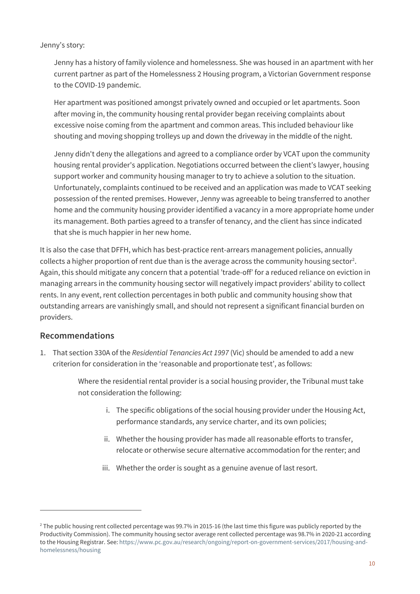#### Jenny's story:

Jenny has a history of family violence and homelessness. She was housed in an apartment with her current partner as part of the Homelessness 2 Housing program, a Victorian Government response to the COVID-19 pandemic.

Her apartment was positioned amongst privately owned and occupied or let apartments. Soon after moving in, the community housing rental provider began receiving complaints about excessive noise coming from the apartment and common areas. This included behaviour like shouting and moving shopping trolleys up and down the driveway in the middle of the night.

Jenny didn't deny the allegations and agreed to a compliance order by VCAT upon the community housing rental provider's application. Negotiations occurred between the client's lawyer, housing support worker and community housing manager to try to achieve a solution to the situation. Unfortunately, complaints continued to be received and an application was made to VCAT seeking possession of the rented premises. However, Jenny was agreeable to being transferred to another home and the community housing provider identified a vacancy in a more appropriate home under its management. Both parties agreed to a transfer of tenancy, and the client has since indicated that she is much happier in her new home.

It is also the case that DFFH, which has best-practice rent-arrears management policies, annually collects a higher proportion of rent due than is the average across the community housing sector<sup>2</sup>. Again, this should mitigate any concern that a potential 'trade-off' for a reduced reliance on eviction in managing arrears in the community housing sector will negatively impact providers' ability to collect rents. In any event, rent collection percentages in both public and community housing show that outstanding arrears are vanishingly small, and should not represent a significant financial burden on providers.

#### Recommendations

1. That section 330A of the *Residential Tenancies Act 1997* (Vic) should be amended to add a new criterion for consideration in the 'reasonable and proportionate test', as follows:

> Where the residential rental provider is a social housing provider, the Tribunal must take not consideration the following:

- i. The specific obligations of the social housing provider under the Housing Act, performance standards, any service charter, and its own policies;
- ii. Whether the housing provider has made all reasonable efforts to transfer, relocate or otherwise secure alternative accommodation for the renter; and
- iii. Whether the order is sought as a genuine avenue of last resort.

<sup>&</sup>lt;sup>2</sup> The public housing rent collected percentage was 99.7% in 2015-16 (the last time this figure was publicly reported by the Productivity Commission). The community housing sector average rent collected percentage was 98.7% in 2020-21 according to the Housing Registrar. See[: https://www.pc.gov.au/research/ongoing/report-on-government-services/2017/housing-and](https://aus01.safelinks.protection.outlook.com/?url=https%3A%2F%2Fwww.pc.gov.au%2Fresearch%2Fongoing%2Freport-on-government-services%2F2017%2Fhousing-and-homelessness%2Fhousing&data=04%7C01%7Cagata.wierzbowski%40tenantsvic.org.au%7Ca3f9e08ab4624e6eb31008d9ef5cba7f%7C24442273d3a043c692cae9c1b0ed8a35%7C0%7C0%7C637804003827298077%7CUnknown%7CTWFpbGZsb3d8eyJWIjoiMC4wLjAwMDAiLCJQIjoiV2luMzIiLCJBTiI6Ik1haWwiLCJXVCI6Mn0%3D%7C3000&sdata=8t5d6QNPt909qW0kbJsJVBsu57Pr6HLxjxs2GRsVAjE%3D&reserved=0)[homelessness/housing](https://aus01.safelinks.protection.outlook.com/?url=https%3A%2F%2Fwww.pc.gov.au%2Fresearch%2Fongoing%2Freport-on-government-services%2F2017%2Fhousing-and-homelessness%2Fhousing&data=04%7C01%7Cagata.wierzbowski%40tenantsvic.org.au%7Ca3f9e08ab4624e6eb31008d9ef5cba7f%7C24442273d3a043c692cae9c1b0ed8a35%7C0%7C0%7C637804003827298077%7CUnknown%7CTWFpbGZsb3d8eyJWIjoiMC4wLjAwMDAiLCJQIjoiV2luMzIiLCJBTiI6Ik1haWwiLCJXVCI6Mn0%3D%7C3000&sdata=8t5d6QNPt909qW0kbJsJVBsu57Pr6HLxjxs2GRsVAjE%3D&reserved=0)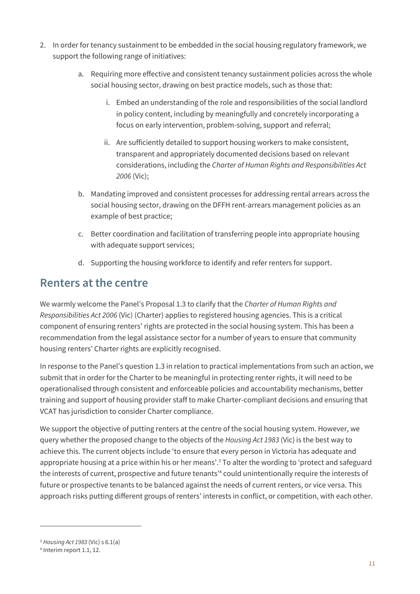- 2. In order for tenancy sustainment to be embedded in the social housing regulatory framework, we support the following range of initiatives:
	- a. Requiring more effective and consistent tenancy sustainment policies across the whole social housing sector, drawing on best practice models, such as those that:
		- i. Embed an understanding of the role and responsibilities of the social landlord in policy content, including by meaningfully and concretely incorporating a focus on early intervention, problem-solving, support and referral;
		- ii. Are sufficiently detailed to support housing workers to make consistent, transparent and appropriately documented decisions based on relevant considerations, including the *Charter of Human Rights and Responsibilities Act 2006* (Vic);
	- b. Mandating improved and consistent processes for addressing rental arrears across the social housing sector, drawing on the DFFH rent-arrears management policies as an example of best practice;
	- c. Better coordination and facilitation of transferring people into appropriate housing with adequate support services;
	- d. Supporting the housing workforce to identify and refer renters for support.

### <span id="page-10-0"></span>Renters at the centre

We warmly welcome the Panel's Proposal 1.3 to clarify that the *Charter of Human Rights and Responsibilities Act 2006* (Vic) (Charter) applies to registered housing agencies. This is a critical component of ensuring renters' rights are protected in the social housing system. This has been a recommendation from the legal assistance sector for a number of years to ensure that community housing renters' Charter rights are explicitly recognised.

In response to the Panel's question 1.3 in relation to practical implementations from such an action, we submit that in order for the Charter to be meaningful in protecting renter rights, it will need to be operationalised through consistent and enforceable policies and accountability mechanisms, better training and support of housing provider staff to make Charter-compliant decisions and ensuring that VCAT has jurisdiction to consider Charter compliance.

We support the objective of putting renters at the centre of the social housing system. However, we query whether the proposed change to the objects of the *Housing Act 1983* (Vic) is the best way to achieve this. The current objects include 'to ensure that every person in Victoria has adequate and appropriate housing at a price within his or her means'.<sup>3</sup> To alter the wording to 'protect and safeguard the interests of current, prospective and future tenants'<sup>4</sup> could unintentionally require the interests of future or prospective tenants to be balanced against the needs of current renters, or vice versa. This approach risks putting different groups of renters' interests in conflict, or competition, with each other.

<sup>3</sup> *Housing Act 1983* (Vic) s 6.1(a)

<sup>4</sup> Interim report 1.1, 12.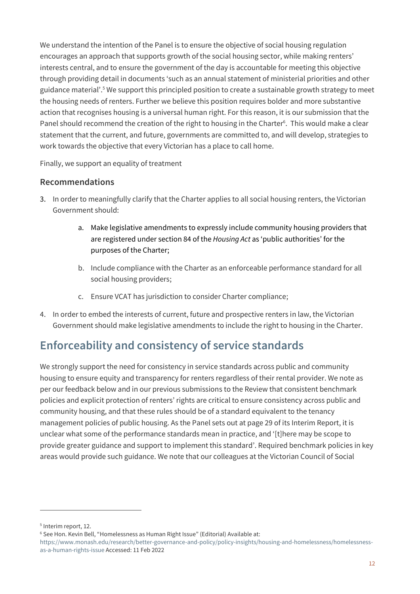We understand the intention of the Panel is to ensure the objective of social housing regulation encourages an approach that supports growth of the social housing sector, while making renters' interests central, and to ensure the government of the day is accountable for meeting this objective through providing detail in documents 'such as an annual statement of ministerial priorities and other guidance material'.<sup>5</sup> We support this principled position to create a sustainable growth strategy to meet the housing needs of renters. Further we believe this position requires bolder and more substantive action that recognises housing is a universal human right. For this reason, it is our submission that the Panel should recommend the creation of the right to housing in the Charter<sup>6</sup>. This would make a clear statement that the current, and future, governments are committed to, and will develop, strategies to work towards the objective that every Victorian has a place to call home.

Finally, we support an equality of treatment

#### Recommendations

- 3. In order to meaningfully clarify that the Charter applies to all social housing renters, the Victorian Government should:
	- a. Make legislative amendments to expressly include community housing providers that are registered under section 84 of the *Housing Act* as 'public authorities' for the purposes of the Charter;
	- b. Include compliance with the Charter as an enforceable performance standard for all social housing providers;
	- c. Ensure VCAT has jurisdiction to consider Charter compliance;
- 4. In order to embed the interests of current, future and prospective renters in law, the Victorian Government should make legislative amendments to include the right to housing in the Charter.

# <span id="page-11-0"></span>Enforceability and consistency of service standards

We strongly support the need for consistency in service standards across public and community housing to ensure equity and transparency for renters regardless of their rental provider. We note as per our feedback below and in our previous submissions to the Review that consistent benchmark policies and explicit protection of renters' rights are critical to ensure consistency across public and community housing, and that these rules should be of a standard equivalent to the tenancy management policies of public housing. As the Panel sets out at page 29 of its Interim Report, it is unclear what some of the performance standards mean in practice, and '[t]here may be scope to provide greater guidance and support to implement this standard'. Required benchmark policies in key areas would provide such guidance. We note that our colleagues at the Victorian Council of Social

<sup>5</sup> Interim report, 12.

<sup>6</sup> See Hon. Kevin Bell, "Homelessness as Human Right Issue" (Editorial) Available at:

[https://www.monash.edu/research/better-governance-and-policy/policy-insights/housing-and-homelessness/homelessness](https://www.monash.edu/research/better-governance-and-policy/policy-insights/housing-and-homelessness/homelessness-as-a-human-rights-issue)[as-a-human-rights-issue](https://www.monash.edu/research/better-governance-and-policy/policy-insights/housing-and-homelessness/homelessness-as-a-human-rights-issue) Accessed: 11 Feb 2022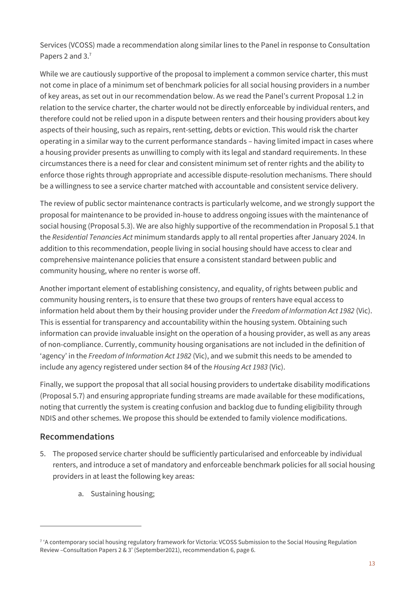Services (VCOSS) made a recommendation along similar lines to the Panel in response to Consultation Papers 2 and 3.7

While we are cautiously supportive of the proposal to implement a common service charter, this must not come in place of a minimum set of benchmark policies for all social housing providers in a number of key areas, as set out in our recommendation below. As we read the Panel's current Proposal 1.2 in relation to the service charter, the charter would not be directly enforceable by individual renters, and therefore could not be relied upon in a dispute between renters and their housing providers about key aspects of their housing, such as repairs, rent-setting, debts or eviction. This would risk the charter operating in a similar way to the current performance standards – having limited impact in cases where a housing provider presents as unwilling to comply with its legal and standard requirements. In these circumstances there is a need for clear and consistent minimum set of renter rights and the ability to enforce those rights through appropriate and accessible dispute-resolution mechanisms. There should be a willingness to see a service charter matched with accountable and consistent service delivery.

The review of public sector maintenance contracts is particularly welcome, and we strongly support the proposal for maintenance to be provided in-house to address ongoing issues with the maintenance of social housing (Proposal 5.3). We are also highly supportive of the recommendation in Proposal 5.1 that the *Residential Tenancies Act* minimum standards apply to all rental properties after January 2024. In addition to this recommendation, people living in social housing should have access to clear and comprehensive maintenance policies that ensure a consistent standard between public and community housing, where no renter is worse off.

Another important element of establishing consistency, and equality, of rights between public and community housing renters, is to ensure that these two groups of renters have equal access to information held about them by their housing provider under the *Freedom of Information Act 1982* (Vic). This is essential for transparency and accountability within the housing system. Obtaining such information can provide invaluable insight on the operation of a housing provider, as well as any areas of non-compliance. Currently, community housing organisations are not included in the definition of 'agency' in the *Freedom of Information Act 1982* (Vic), and we submit this needs to be amended to include any agency registered under section 84 of the *Housing Act 1983* (Vic).

Finally, we support the proposal that all social housing providers to undertake disability modifications (Proposal 5.7) and ensuring appropriate funding streams are made available for these modifications, noting that currently the system is creating confusion and backlog due to funding eligibility through NDIS and other schemes. We propose this should be extended to family violence modifications.

#### Recommendations

- 5. The proposed service charter should be sufficiently particularised and enforceable by individual renters, and introduce a set of mandatory and enforceable benchmark policies for all social housing providers in at least the following key areas:
	- a. Sustaining housing;

<sup>&</sup>lt;sup>7</sup> 'A contemporary social housing regulatory framework for Victoria: VCOSS Submission to the Social Housing Regulation Review –Consultation Papers 2 & 3' (September2021), recommendation 6, page 6.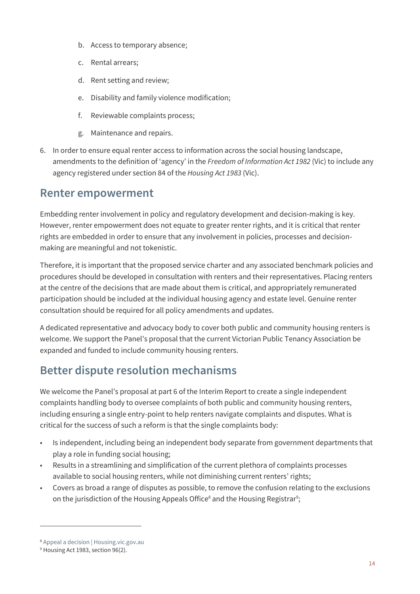- b. Access to temporary absence;
- c. Rental arrears;
- d. Rent setting and review;
- e. Disability and family violence modification;
- f. Reviewable complaints process;
- g. Maintenance and repairs.
- 6. In order to ensure equal renter access to information across the social housing landscape, amendments to the definition of 'agency' in the *Freedom of Information Act 1982* (Vic) to include any agency registered under section 84 of the *Housing Act 1983* (Vic).

### <span id="page-13-0"></span>Renter empowerment

Embedding renter involvement in policy and regulatory development and decision-making is key. However, renter empowerment does not equate to greater renter rights, and it is critical that renter rights are embedded in order to ensure that any involvement in policies, processes and decisionmaking are meaningful and not tokenistic.

Therefore, it is important that the proposed service charter and any associated benchmark policies and procedures should be developed in consultation with renters and their representatives. Placing renters at the centre of the decisions that are made about them is critical, and appropriately remunerated participation should be included at the individual housing agency and estate level. Genuine renter consultation should be required for all policy amendments and updates.

A dedicated representative and advocacy body to cover both public and community housing renters is welcome. We support the Panel's proposal that the current Victorian Public Tenancy Association be expanded and funded to include community housing renters.

# <span id="page-13-1"></span>Better dispute resolution mechanisms

We welcome the Panel's proposal at part 6 of the Interim Report to create a single independent complaints handling body to oversee complaints of both public and community housing renters, including ensuring a single entry-point to help renters navigate complaints and disputes. What is critical for the success of such a reform is that the single complaints body:

- Is independent, including being an independent body separate from government departments that play a role in funding social housing;
- Results in a streamlining and simplification of the current plethora of complaints processes available to social housing renters, while not diminishing current renters' rights;
- Covers as broad a range of disputes as possible, to remove the confusion relating to the exclusions on the jurisdiction of the Housing Appeals Office $^{\rm 8}$  and the Housing Registrar $^{\rm 9}$ ;

<sup>8</sup> [Appeal a decision | Housing.vic.gov.au](https://www.housing.vic.gov.au/appeal-decision)

<sup>&</sup>lt;sup>9</sup> Housing Act 1983, section 96(2).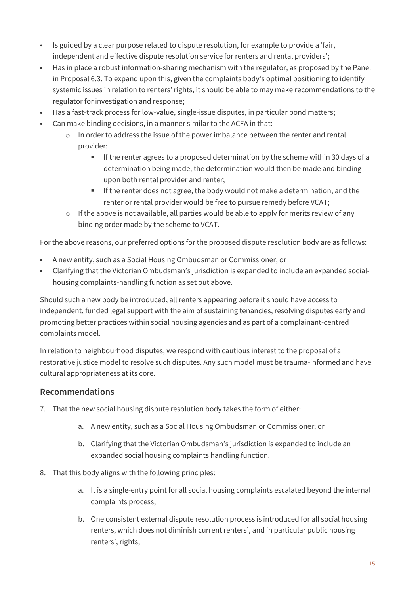- Is guided by a clear purpose related to dispute resolution, for example to provide a 'fair, independent and effective dispute resolution service for renters and rental providers';
- Has in place a robust information-sharing mechanism with the regulator, as proposed by the Panel in Proposal 6.3. To expand upon this, given the complaints body's optimal positioning to identify systemic issues in relation to renters' rights, it should be able to may make recommendations to the regulator for investigation and response;
- Has a fast-track process for low-value, single-issue disputes, in particular bond matters;
- Can make binding decisions, in a manner similar to the ACFA in that:
	- o In order to address the issue of the power imbalance between the renter and rental provider:
		- **■** If the renter agrees to a proposed determination by the scheme within 30 days of a determination being made, the determination would then be made and binding upon both rental provider and renter;
		- **EXECT** If the renter does not agree, the body would not make a determination, and the renter or rental provider would be free to pursue remedy before VCAT;
	- o If the above is not available, all parties would be able to apply for merits review of any binding order made by the scheme to VCAT.

For the above reasons, our preferred options for the proposed dispute resolution body are as follows:

- A new entity, such as a Social Housing Ombudsman or Commissioner; or
- Clarifying that the Victorian Ombudsman's jurisdiction is expanded to include an expanded socialhousing complaints-handling function as set out above.

Should such a new body be introduced, all renters appearing before it should have access to independent, funded legal support with the aim of sustaining tenancies, resolving disputes early and promoting better practices within social housing agencies and as part of a complainant-centred complaints model.

In relation to neighbourhood disputes, we respond with cautious interest to the proposal of a restorative justice model to resolve such disputes. Any such model must be trauma-informed and have cultural appropriateness at its core.

#### Recommendations

- 7. That the new social housing dispute resolution body takes the form of either:
	- a. A new entity, such as a Social Housing Ombudsman or Commissioner; or
	- b. Clarifying that the Victorian Ombudsman's jurisdiction is expanded to include an expanded social housing complaints handling function.
- 8. That this body aligns with the following principles:
	- a. It is a single-entry point for all social housing complaints escalated beyond the internal complaints process;
	- b. One consistent external dispute resolution process is introduced for all social housing renters, which does not diminish current renters', and in particular public housing renters', rights;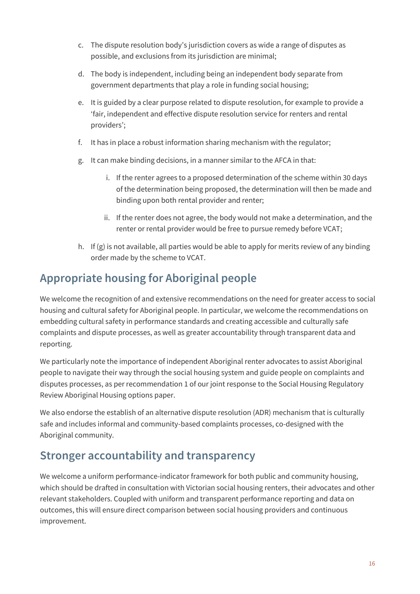- c. The dispute resolution body's jurisdiction covers as wide a range of disputes as possible, and exclusions from its jurisdiction are minimal;
- d. The body is independent, including being an independent body separate from government departments that play a role in funding social housing;
- e. It is guided by a clear purpose related to dispute resolution, for example to provide a 'fair, independent and effective dispute resolution service for renters and rental providers';
- f. It has in place a robust information sharing mechanism with the regulator;
- g. It can make binding decisions, in a manner similar to the AFCA in that:
	- i. If the renter agrees to a proposed determination of the scheme within 30 days of the determination being proposed, the determination will then be made and binding upon both rental provider and renter;
	- ii. If the renter does not agree, the body would not make a determination, and the renter or rental provider would be free to pursue remedy before VCAT;
- h. If (g) is not available, all parties would be able to apply for merits review of any binding order made by the scheme to VCAT.

# <span id="page-15-0"></span>Appropriate housing for Aboriginal people

We welcome the recognition of and extensive recommendations on the need for greater access to social housing and cultural safety for Aboriginal people. In particular, we welcome the recommendations on embedding cultural safety in performance standards and creating accessible and culturally safe complaints and dispute processes, as well as greater accountability through transparent data and reporting.

We particularly note the importance of independent Aboriginal renter advocates to assist Aboriginal people to navigate their way through the social housing system and guide people on complaints and disputes processes, as per recommendation 1 of our joint response to the Social Housing Regulatory Review Aboriginal Housing options paper.

We also endorse the establish of an alternative dispute resolution (ADR) mechanism that is culturally safe and includes informal and community-based complaints processes, co-designed with the Aboriginal community.

# <span id="page-15-1"></span>Stronger accountability and transparency

We welcome a uniform performance-indicator framework for both public and community housing, which should be drafted in consultation with Victorian social housing renters, their advocates and other relevant stakeholders. Coupled with uniform and transparent performance reporting and data on outcomes, this will ensure direct comparison between social housing providers and continuous improvement.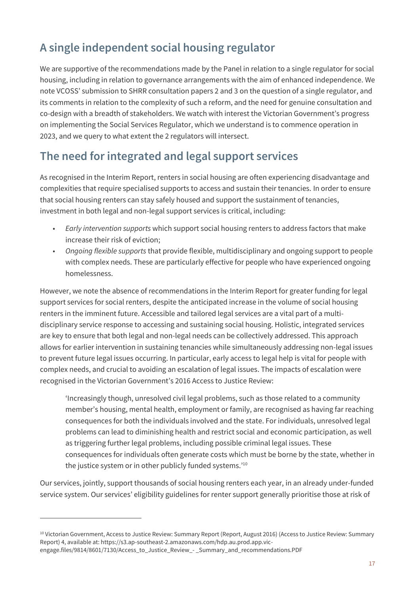# <span id="page-16-0"></span>A single independent social housing regulator

We are supportive of the recommendations made by the Panel in relation to a single regulator for social housing, including in relation to governance arrangements with the aim of enhanced independence. We note VCOSS' submission to SHRR consultation papers 2 and 3 on the question of a single regulator, and its comments in relation to the complexity of such a reform, and the need for genuine consultation and co-design with a breadth of stakeholders. We watch with interest the Victorian Government's progress on implementing the Social Services Regulator, which we understand is to commence operation in 2023, and we query to what extent the 2 regulators will intersect.

# <span id="page-16-1"></span>The need for integrated and legal support services

As recognised in the Interim Report, renters in social housing are often experiencing disadvantage and complexities that require specialised supports to access and sustain their tenancies. In order to ensure that social housing renters can stay safely housed and support the sustainment of tenancies, investment in both legal and non-legal support services is critical, including:

- *Early intervention supports* which support social housing renters to address factors that make increase their risk of eviction;
- *Ongoing flexible supports* that provide flexible, multidisciplinary and ongoing support to people with complex needs. These are particularly effective for people who have experienced ongoing homelessness.

However, we note the absence of recommendations in the Interim Report for greater funding for legal support services for social renters, despite the anticipated increase in the volume of social housing renters in the imminent future. Accessible and tailored legal services are a vital part of a multidisciplinary service response to accessing and sustaining social housing. Holistic, integrated services are key to ensure that both legal and non-legal needs can be collectively addressed. This approach allows for earlier intervention in sustaining tenancies while simultaneously addressing non-legal issues to prevent future legal issues occurring. In particular, early access to legal help is vital for people with complex needs, and crucial to avoiding an escalation of legal issues. The impacts of escalation were recognised in the Victorian Government's 2016 Access to Justice Review:

'Increasingly though, unresolved civil legal problems, such as those related to a community member's housing, mental health, employment or family, are recognised as having far reaching consequences for both the individuals involved and the state. For individuals, unresolved legal problems can lead to diminishing health and restrict social and economic participation, as well as triggering further legal problems, including possible criminal legal issues. These consequences for individuals often generate costs which must be borne by the state, whether in the justice system or in other publicly funded systems.'<sup>10</sup>

Our services, jointly, support thousands of social housing renters each year, in an already under-funded service system. Our services' eligibility guidelines for renter support generally prioritise those at risk of

<sup>&</sup>lt;sup>10</sup> Victorian Government, Access to Justice Review: Summary Report (Report, August 2016) (Access to Justice Review: Summary Report) 4, available at: https://s3.ap-southeast-2.amazonaws.com/hdp.au.prod.app.vicengage.files/9814/8601/7130/Access\_to\_Justice\_Review\_- \_Summary\_and\_recommendations.PDF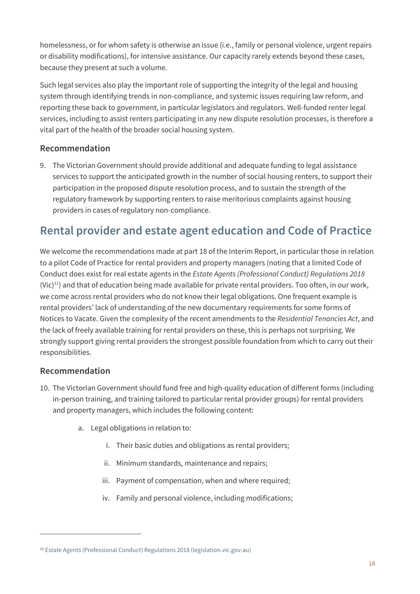homelessness, or for whom safety is otherwise an issue (i.e., family or personal violence, urgent repairs or disability modifications), for intensive assistance. Our capacity rarely extends beyond these cases, because they present at such a volume.

Such legal services also play the important role of supporting the integrity of the legal and housing system through identifying trends in non-compliance, and systemic issues requiring law reform, and reporting these back to government, in particular legislators and regulators. Well-funded renter legal services, including to assist renters participating in any new dispute resolution processes, is therefore a vital part of the health of the broader social housing system.

#### Recommendation

9. The Victorian Government should provide additional and adequate funding to legal assistance services to support the anticipated growth in the number of social housing renters, to support their participation in the proposed dispute resolution process, and to sustain the strength of the regulatory framework by supporting renters to raise meritorious complaints against housing providers in cases of regulatory non-compliance.

# <span id="page-17-0"></span>Rental provider and estate agent education and Code of Practice

We welcome the recommendations made at part 18 of the Interim Report, in particular those in relation to a pilot Code of Practice for rental providers and property managers (noting that a limited Code of Conduct does exist for real estate agents in the *Estate Agents (Professional Conduct) Regulations 2018*  $(Vi<sub>c</sub>)<sup>11</sup>$  and that of education being made available for private rental providers. Too often, in our work, we come across rental providers who do not know their legal obligations. One frequent example is rental providers' lack of understanding of the new documentary requirements for some forms of Notices to Vacate. Given the complexity of the recent amendments to the *Residential Tenancies Act*, and the lack of freely available training for rental providers on these, this is perhaps not surprising. We strongly support giving rental providers the strongest possible foundation from which to carry out their responsibilities.

#### Recommendation

- 10. The Victorian Government should fund free and high-quality education of different forms (including in-person training, and training tailored to particular rental provider groups) for rental providers and property managers, which includes the following content:
	- a. Legal obligations in relation to:
		- i. Their basic duties and obligations as rental providers;
		- ii. Minimum standards, maintenance and repairs;
		- iii. Payment of compensation, when and where required;
		- iv. Family and personal violence, including modifications;

<sup>11</sup> [Estate Agents \(Professional Conduct\) Regulations 2018 \(legislation.vic.gov.au\)](https://content.legislation.vic.gov.au/sites/default/files/c8429267-b7da-3f97-b4cf-0aac44d74434_18-49sra001%20authorised.pdf)